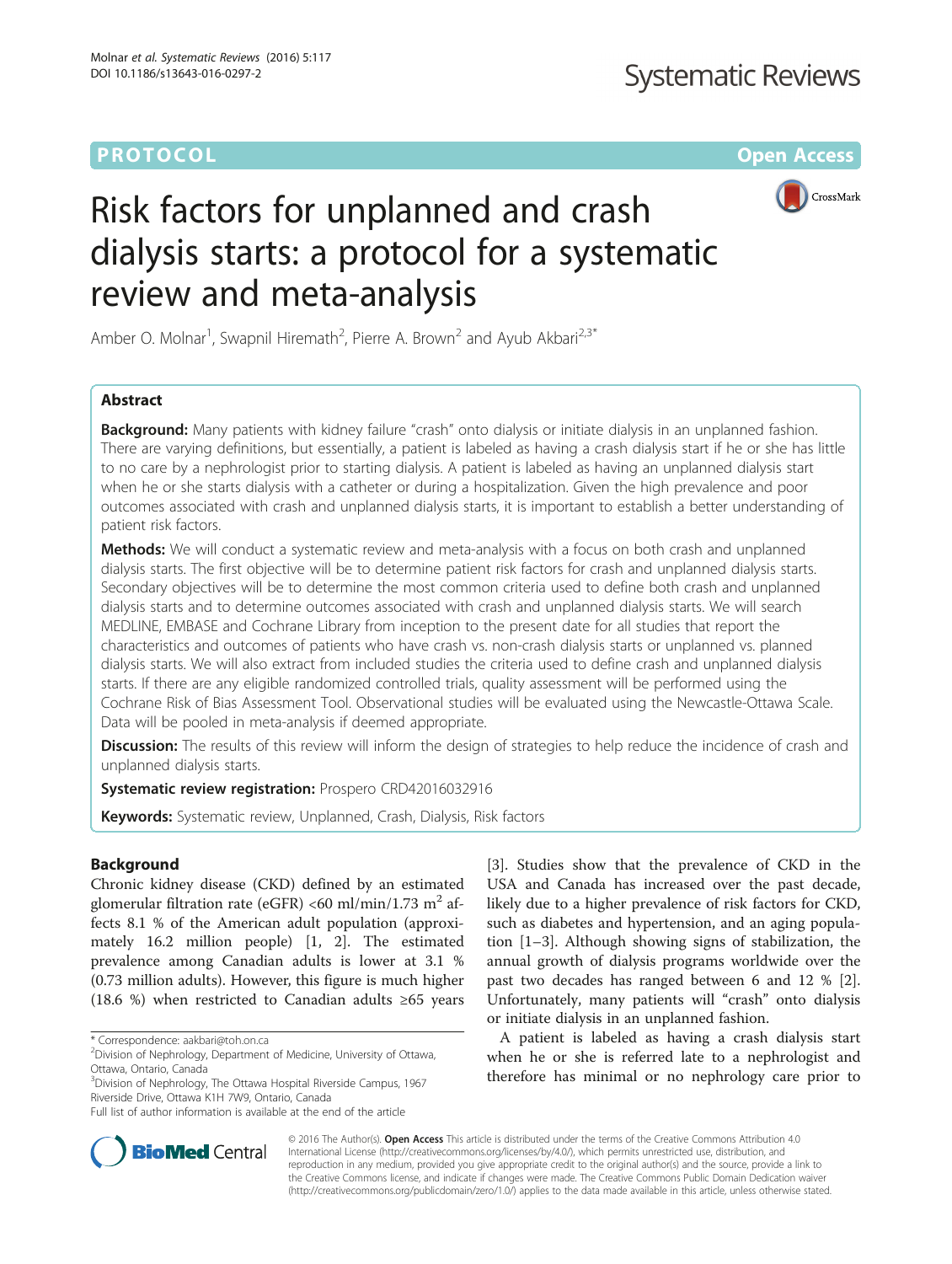# **PROTOCOL CONSUMING THE CONSUMING TEACHER CONSUMING THE CONSUMING TEACHER CONSUMING THE CONSUMING TEACHER CONSUMING**



# Risk factors for unplanned and crash dialysis starts: a protocol for a systematic review and meta-analysis

Amber O. Molnar<sup>1</sup>, Swapnil Hiremath<sup>2</sup>, Pierre A. Brown<sup>2</sup> and Ayub Akbari<sup>2,3\*</sup>

## Abstract

**Background:** Many patients with kidney failure "crash" onto dialysis or initiate dialysis in an unplanned fashion. There are varying definitions, but essentially, a patient is labeled as having a crash dialysis start if he or she has little to no care by a nephrologist prior to starting dialysis. A patient is labeled as having an unplanned dialysis start when he or she starts dialysis with a catheter or during a hospitalization. Given the high prevalence and poor outcomes associated with crash and unplanned dialysis starts, it is important to establish a better understanding of patient risk factors.

Methods: We will conduct a systematic review and meta-analysis with a focus on both crash and unplanned dialysis starts. The first objective will be to determine patient risk factors for crash and unplanned dialysis starts. Secondary objectives will be to determine the most common criteria used to define both crash and unplanned dialysis starts and to determine outcomes associated with crash and unplanned dialysis starts. We will search MEDLINE, EMBASE and Cochrane Library from inception to the present date for all studies that report the characteristics and outcomes of patients who have crash vs. non-crash dialysis starts or unplanned vs. planned dialysis starts. We will also extract from included studies the criteria used to define crash and unplanned dialysis starts. If there are any eligible randomized controlled trials, quality assessment will be performed using the Cochrane Risk of Bias Assessment Tool. Observational studies will be evaluated using the Newcastle-Ottawa Scale. Data will be pooled in meta-analysis if deemed appropriate.

**Discussion:** The results of this review will inform the design of strategies to help reduce the incidence of crash and unplanned dialysis starts.

Systematic review registration: Prospero [CRD42016032916](http://www.crd.york.ac.uk/PROSPERO/display_record.asp?ID=CRD42016032916)

Keywords: Systematic review, Unplanned, Crash, Dialysis, Risk factors

## Background

Chronic kidney disease (CKD) defined by an estimated glomerular filtration rate (eGFR) <60 ml/min/1.73 m<sup>2</sup> affects 8.1 % of the American adult population (approximately 16.2 million people) [\[1](#page-4-0), [2](#page-4-0)]. The estimated prevalence among Canadian adults is lower at 3.1 % (0.73 million adults). However, this figure is much higher (18.6 %) when restricted to Canadian adults ≥65 years

<sup>3</sup>Division of Nephrology, The Ottawa Hospital Riverside Campus, 1967 Riverside Drive, Ottawa K1H 7W9, Ontario, Canada

[[3\]](#page-4-0). Studies show that the prevalence of CKD in the USA and Canada has increased over the past decade, likely due to a higher prevalence of risk factors for CKD, such as diabetes and hypertension, and an aging population [\[1](#page-4-0)–[3\]](#page-4-0). Although showing signs of stabilization, the annual growth of dialysis programs worldwide over the past two decades has ranged between 6 and 12 % [\[2](#page-4-0)]. Unfortunately, many patients will "crash" onto dialysis or initiate dialysis in an unplanned fashion.

A patient is labeled as having a crash dialysis start when he or she is referred late to a nephrologist and therefore has minimal or no nephrology care prior to



© 2016 The Author(s). Open Access This article is distributed under the terms of the Creative Commons Attribution 4.0 International License [\(http://creativecommons.org/licenses/by/4.0/](http://creativecommons.org/licenses/by/4.0/)), which permits unrestricted use, distribution, and reproduction in any medium, provided you give appropriate credit to the original author(s) and the source, provide a link to the Creative Commons license, and indicate if changes were made. The Creative Commons Public Domain Dedication waiver [\(http://creativecommons.org/publicdomain/zero/1.0/](http://creativecommons.org/publicdomain/zero/1.0/)) applies to the data made available in this article, unless otherwise stated.

<sup>\*</sup> Correspondence: [aakbari@toh.on.ca](mailto:aakbari@toh.on.ca) <sup>2</sup>

<sup>&</sup>lt;sup>2</sup> Division of Nephrology, Department of Medicine, University of Ottawa, Ottawa, Ontario, Canada

Full list of author information is available at the end of the article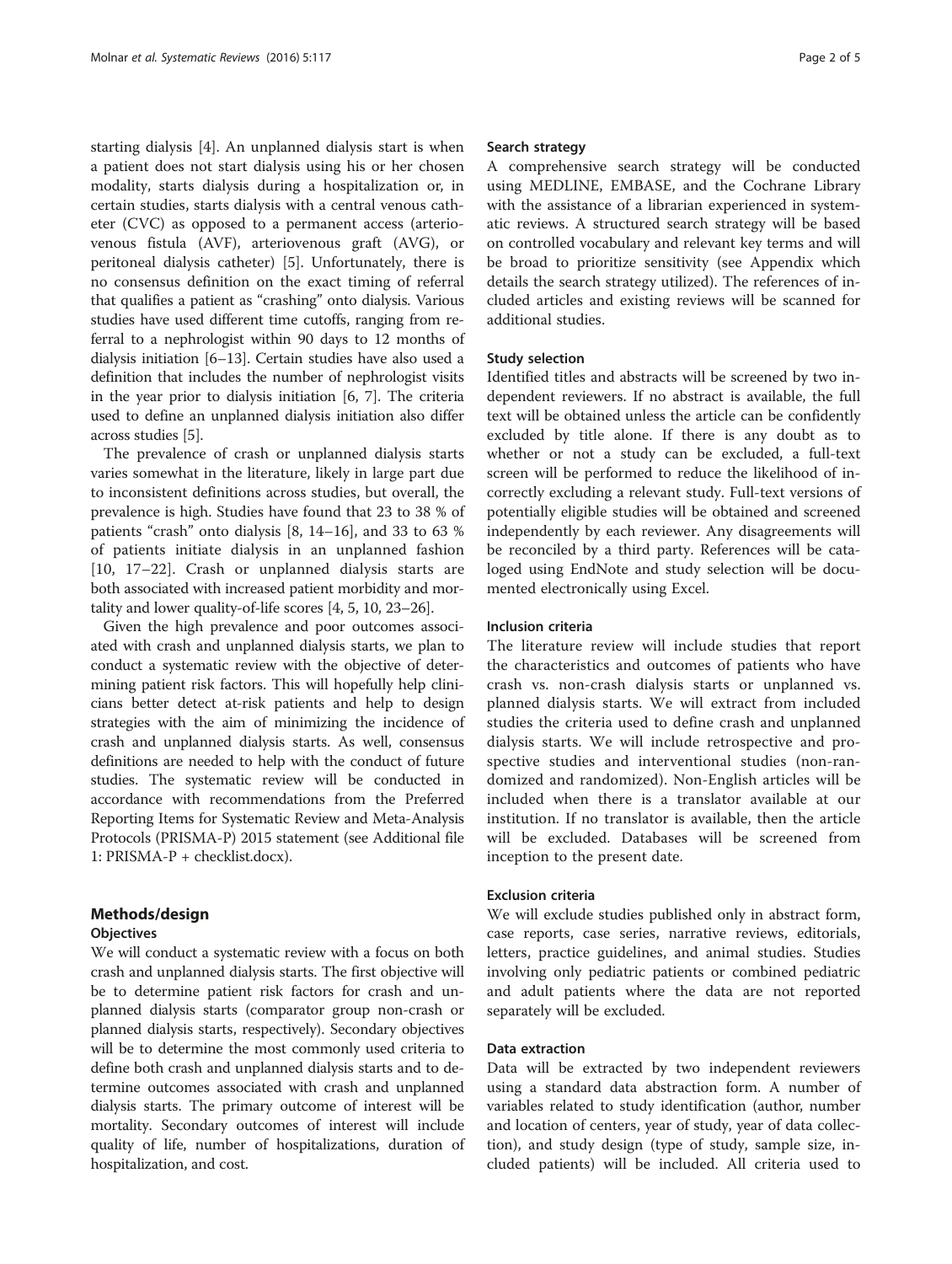starting dialysis [\[4](#page-4-0)]. An unplanned dialysis start is when a patient does not start dialysis using his or her chosen modality, starts dialysis during a hospitalization or, in certain studies, starts dialysis with a central venous catheter (CVC) as opposed to a permanent access (arteriovenous fistula (AVF), arteriovenous graft (AVG), or peritoneal dialysis catheter) [[5\]](#page-4-0). Unfortunately, there is no consensus definition on the exact timing of referral that qualifies a patient as "crashing" onto dialysis. Various studies have used different time cutoffs, ranging from referral to a nephrologist within 90 days to 12 months of dialysis initiation [\[6](#page-4-0)–[13](#page-4-0)]. Certain studies have also used a definition that includes the number of nephrologist visits in the year prior to dialysis initiation [\[6](#page-4-0), [7](#page-4-0)]. The criteria used to define an unplanned dialysis initiation also differ across studies [\[5](#page-4-0)].

The prevalence of crash or unplanned dialysis starts varies somewhat in the literature, likely in large part due to inconsistent definitions across studies, but overall, the prevalence is high. Studies have found that 23 to 38 % of patients "crash" onto dialysis [\[8](#page-4-0), [14](#page-4-0)–[16](#page-4-0)], and 33 to 63 % of patients initiate dialysis in an unplanned fashion [[10, 17](#page-4-0)–[22](#page-4-0)]. Crash or unplanned dialysis starts are both associated with increased patient morbidity and mortality and lower quality-of-life scores [\[4, 5](#page-4-0), [10, 23](#page-4-0)–[26\]](#page-4-0).

Given the high prevalence and poor outcomes associated with crash and unplanned dialysis starts, we plan to conduct a systematic review with the objective of determining patient risk factors. This will hopefully help clinicians better detect at-risk patients and help to design strategies with the aim of minimizing the incidence of crash and unplanned dialysis starts. As well, consensus definitions are needed to help with the conduct of future studies. The systematic review will be conducted in accordance with recommendations from the Preferred Reporting Items for Systematic Review and Meta-Analysis Protocols (PRISMA-P) 2015 statement (see Additional file [1:](#page-4-0) PRISMA-P + checklist.docx).

## Methods/design

## **Objectives**

We will conduct a systematic review with a focus on both crash and unplanned dialysis starts. The first objective will be to determine patient risk factors for crash and unplanned dialysis starts (comparator group non-crash or planned dialysis starts, respectively). Secondary objectives will be to determine the most commonly used criteria to define both crash and unplanned dialysis starts and to determine outcomes associated with crash and unplanned dialysis starts. The primary outcome of interest will be mortality. Secondary outcomes of interest will include quality of life, number of hospitalizations, duration of hospitalization, and cost.

## Search strategy

A comprehensive search strategy will be conducted using MEDLINE, EMBASE, and the Cochrane Library with the assistance of a librarian experienced in systematic reviews. A structured search strategy will be based on controlled vocabulary and relevant key terms and will be broad to prioritize sensitivity (see [Appendix](#page-3-0) which details the search strategy utilized). The references of included articles and existing reviews will be scanned for additional studies.

## Study selection

Identified titles and abstracts will be screened by two independent reviewers. If no abstract is available, the full text will be obtained unless the article can be confidently excluded by title alone. If there is any doubt as to whether or not a study can be excluded, a full-text screen will be performed to reduce the likelihood of incorrectly excluding a relevant study. Full-text versions of potentially eligible studies will be obtained and screened independently by each reviewer. Any disagreements will be reconciled by a third party. References will be cataloged using EndNote and study selection will be documented electronically using Excel.

## Inclusion criteria

The literature review will include studies that report the characteristics and outcomes of patients who have crash vs. non-crash dialysis starts or unplanned vs. planned dialysis starts. We will extract from included studies the criteria used to define crash and unplanned dialysis starts. We will include retrospective and prospective studies and interventional studies (non-randomized and randomized). Non-English articles will be included when there is a translator available at our institution. If no translator is available, then the article will be excluded. Databases will be screened from inception to the present date.

## Exclusion criteria

We will exclude studies published only in abstract form, case reports, case series, narrative reviews, editorials, letters, practice guidelines, and animal studies. Studies involving only pediatric patients or combined pediatric and adult patients where the data are not reported separately will be excluded.

## Data extraction

Data will be extracted by two independent reviewers using a standard data abstraction form. A number of variables related to study identification (author, number and location of centers, year of study, year of data collection), and study design (type of study, sample size, included patients) will be included. All criteria used to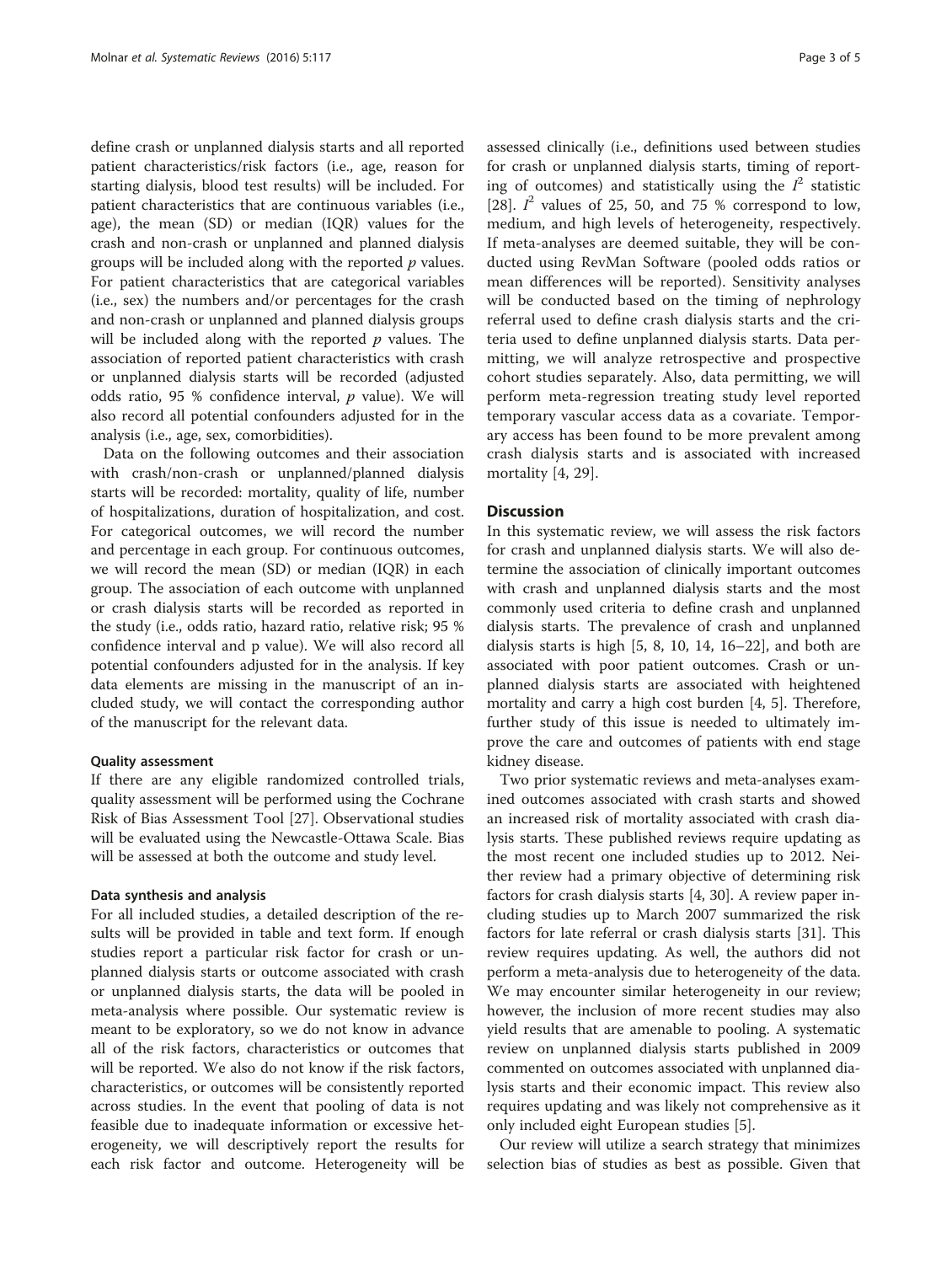define crash or unplanned dialysis starts and all reported patient characteristics/risk factors (i.e., age, reason for starting dialysis, blood test results) will be included. For patient characteristics that are continuous variables (i.e., age), the mean (SD) or median (IQR) values for the crash and non-crash or unplanned and planned dialysis groups will be included along with the reported  $p$  values. For patient characteristics that are categorical variables (i.e., sex) the numbers and/or percentages for the crash and non-crash or unplanned and planned dialysis groups will be included along with the reported  $p$  values. The association of reported patient characteristics with crash or unplanned dialysis starts will be recorded (adjusted odds ratio, 95 % confidence interval,  $p$  value). We will also record all potential confounders adjusted for in the analysis (i.e., age, sex, comorbidities).

Data on the following outcomes and their association with crash/non-crash or unplanned/planned dialysis starts will be recorded: mortality, quality of life, number of hospitalizations, duration of hospitalization, and cost. For categorical outcomes, we will record the number and percentage in each group. For continuous outcomes, we will record the mean (SD) or median (IQR) in each group. The association of each outcome with unplanned or crash dialysis starts will be recorded as reported in the study (i.e., odds ratio, hazard ratio, relative risk; 95 % confidence interval and p value). We will also record all potential confounders adjusted for in the analysis. If key data elements are missing in the manuscript of an included study, we will contact the corresponding author of the manuscript for the relevant data.

### Quality assessment

If there are any eligible randomized controlled trials, quality assessment will be performed using the Cochrane Risk of Bias Assessment Tool [\[27\]](#page-4-0). Observational studies will be evaluated using the Newcastle-Ottawa Scale. Bias will be assessed at both the outcome and study level.

#### Data synthesis and analysis

For all included studies, a detailed description of the results will be provided in table and text form. If enough studies report a particular risk factor for crash or unplanned dialysis starts or outcome associated with crash or unplanned dialysis starts, the data will be pooled in meta-analysis where possible. Our systematic review is meant to be exploratory, so we do not know in advance all of the risk factors, characteristics or outcomes that will be reported. We also do not know if the risk factors, characteristics, or outcomes will be consistently reported across studies. In the event that pooling of data is not feasible due to inadequate information or excessive heterogeneity, we will descriptively report the results for each risk factor and outcome. Heterogeneity will be assessed clinically (i.e., definitions used between studies for crash or unplanned dialysis starts, timing of reporting of outcomes) and statistically using the  $I^2$  statistic [[28\]](#page-4-0).  $I^2$  values of 25, 50, and 75 % correspond to low, medium, and high levels of heterogeneity, respectively. If meta-analyses are deemed suitable, they will be conducted using RevMan Software (pooled odds ratios or mean differences will be reported). Sensitivity analyses will be conducted based on the timing of nephrology referral used to define crash dialysis starts and the criteria used to define unplanned dialysis starts. Data permitting, we will analyze retrospective and prospective cohort studies separately. Also, data permitting, we will perform meta-regression treating study level reported temporary vascular access data as a covariate. Temporary access has been found to be more prevalent among crash dialysis starts and is associated with increased mortality [[4, 29](#page-4-0)].

## **Discussion**

In this systematic review, we will assess the risk factors for crash and unplanned dialysis starts. We will also determine the association of clinically important outcomes with crash and unplanned dialysis starts and the most commonly used criteria to define crash and unplanned dialysis starts. The prevalence of crash and unplanned dialysis starts is high  $[5, 8, 10, 14, 16-22]$  $[5, 8, 10, 14, 16-22]$  $[5, 8, 10, 14, 16-22]$  $[5, 8, 10, 14, 16-22]$  $[5, 8, 10, 14, 16-22]$  $[5, 8, 10, 14, 16-22]$  $[5, 8, 10, 14, 16-22]$ , and both are associated with poor patient outcomes. Crash or unplanned dialysis starts are associated with heightened mortality and carry a high cost burden [\[4, 5](#page-4-0)]. Therefore, further study of this issue is needed to ultimately improve the care and outcomes of patients with end stage kidney disease.

Two prior systematic reviews and meta-analyses examined outcomes associated with crash starts and showed an increased risk of mortality associated with crash dialysis starts. These published reviews require updating as the most recent one included studies up to 2012. Neither review had a primary objective of determining risk factors for crash dialysis starts [\[4](#page-4-0), [30\]](#page-4-0). A review paper including studies up to March 2007 summarized the risk factors for late referral or crash dialysis starts [[31\]](#page-4-0). This review requires updating. As well, the authors did not perform a meta-analysis due to heterogeneity of the data. We may encounter similar heterogeneity in our review; however, the inclusion of more recent studies may also yield results that are amenable to pooling. A systematic review on unplanned dialysis starts published in 2009 commented on outcomes associated with unplanned dialysis starts and their economic impact. This review also requires updating and was likely not comprehensive as it only included eight European studies [[5](#page-4-0)].

Our review will utilize a search strategy that minimizes selection bias of studies as best as possible. Given that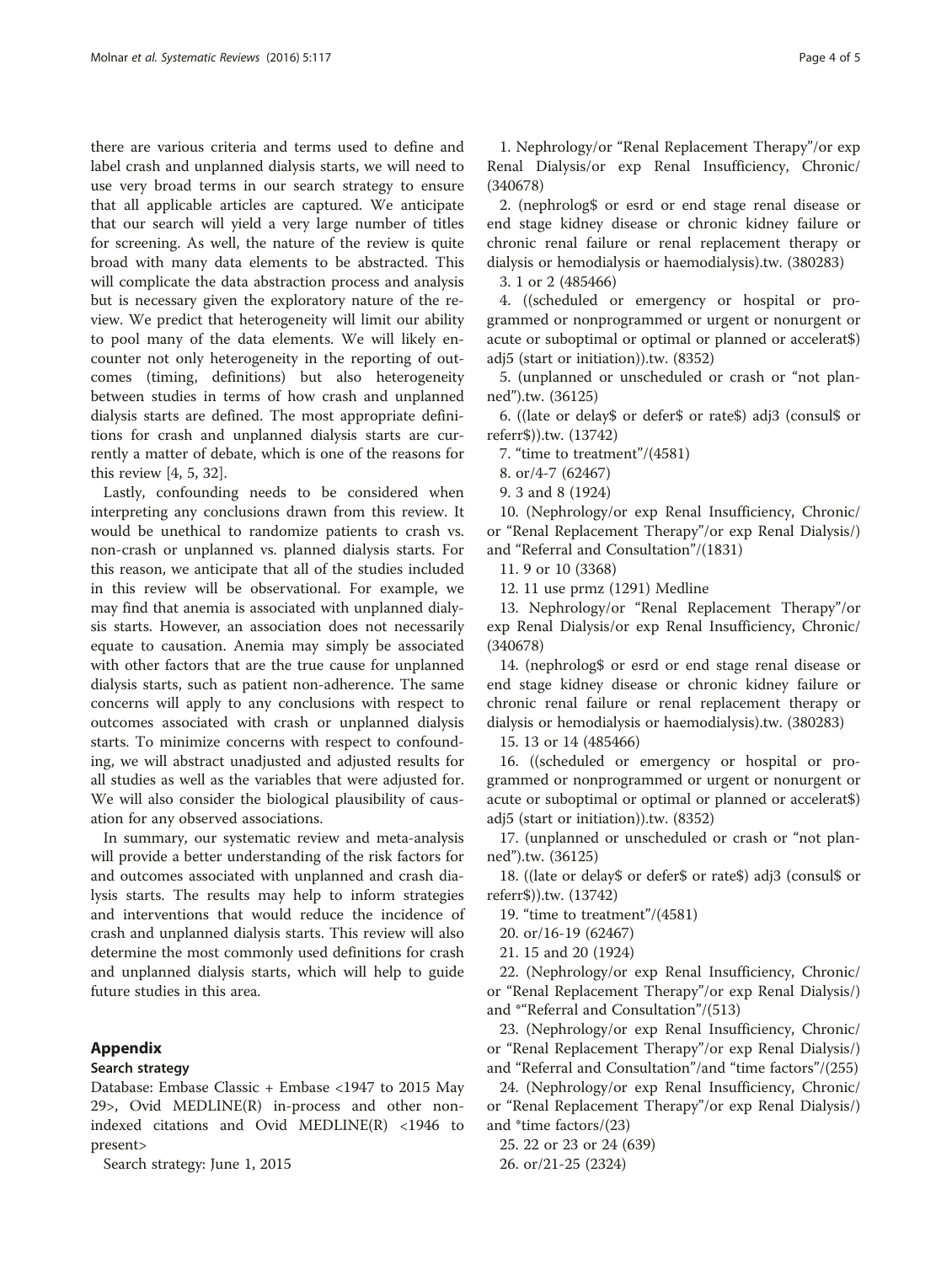<span id="page-3-0"></span>there are various criteria and terms used to define and label crash and unplanned dialysis starts, we will need to use very broad terms in our search strategy to ensure that all applicable articles are captured. We anticipate that our search will yield a very large number of titles for screening. As well, the nature of the review is quite broad with many data elements to be abstracted. This will complicate the data abstraction process and analysis but is necessary given the exploratory nature of the review. We predict that heterogeneity will limit our ability to pool many of the data elements. We will likely encounter not only heterogeneity in the reporting of outcomes (timing, definitions) but also heterogeneity between studies in terms of how crash and unplanned dialysis starts are defined. The most appropriate definitions for crash and unplanned dialysis starts are currently a matter of debate, which is one of the reasons for this review [\[4, 5, 32\]](#page-4-0).

Lastly, confounding needs to be considered when interpreting any conclusions drawn from this review. It would be unethical to randomize patients to crash vs. non-crash or unplanned vs. planned dialysis starts. For this reason, we anticipate that all of the studies included in this review will be observational. For example, we may find that anemia is associated with unplanned dialysis starts. However, an association does not necessarily equate to causation. Anemia may simply be associated with other factors that are the true cause for unplanned dialysis starts, such as patient non-adherence. The same concerns will apply to any conclusions with respect to outcomes associated with crash or unplanned dialysis starts. To minimize concerns with respect to confounding, we will abstract unadjusted and adjusted results for all studies as well as the variables that were adjusted for. We will also consider the biological plausibility of causation for any observed associations.

In summary, our systematic review and meta-analysis will provide a better understanding of the risk factors for and outcomes associated with unplanned and crash dialysis starts. The results may help to inform strategies and interventions that would reduce the incidence of crash and unplanned dialysis starts. This review will also determine the most commonly used definitions for crash and unplanned dialysis starts, which will help to guide future studies in this area.

## Appendix

### Search strategy

Database: Embase Classic + Embase <1947 to 2015 May 29>, Ovid MEDLINE(R) in-process and other nonindexed citations and Ovid MEDLINE $(R)$  <1946 to present>

Search strategy: June 1, 2015

1. Nephrology/or "Renal Replacement Therapy"/or exp Renal Dialysis/or exp Renal Insufficiency, Chronic/ (340678)

2. (nephrolog\$ or esrd or end stage renal disease or end stage kidney disease or chronic kidney failure or chronic renal failure or renal replacement therapy or dialysis or hemodialysis or haemodialysis).tw. (380283)

3. 1 or 2 (485466)

4. ((scheduled or emergency or hospital or programmed or nonprogrammed or urgent or nonurgent or acute or suboptimal or optimal or planned or accelerat\$) adj5 (start or initiation)).tw. (8352)

5. (unplanned or unscheduled or crash or "not planned").tw. (36125)

6. ((late or delay\$ or defer\$ or rate\$) adj3 (consul\$ or referr\$)).tw. (13742)

7. "time to treatment"/(4581)

8. or/4-7 (62467)

9. 3 and 8 (1924)

10. (Nephrology/or exp Renal Insufficiency, Chronic/ or "Renal Replacement Therapy"/or exp Renal Dialysis/) and "Referral and Consultation"/(1831)

11. 9 or 10 (3368)

12. 11 use prmz (1291) Medline

13. Nephrology/or "Renal Replacement Therapy"/or exp Renal Dialysis/or exp Renal Insufficiency, Chronic/ (340678)

14. (nephrolog\$ or esrd or end stage renal disease or end stage kidney disease or chronic kidney failure or chronic renal failure or renal replacement therapy or dialysis or hemodialysis or haemodialysis).tw. (380283)

15. 13 or 14 (485466)

16. ((scheduled or emergency or hospital or programmed or nonprogrammed or urgent or nonurgent or acute or suboptimal or optimal or planned or accelerat\$) adj5 (start or initiation)).tw. (8352)

17. (unplanned or unscheduled or crash or "not planned").tw. (36125)

18. ((late or delay\$ or defer\$ or rate\$) adj3 (consul\$ or referr\$)).tw. (13742)

19. "time to treatment"/(4581)

20. or/16-19 (62467)

21. 15 and 20 (1924)

22. (Nephrology/or exp Renal Insufficiency, Chronic/ or "Renal Replacement Therapy"/or exp Renal Dialysis/) and \*"Referral and Consultation"/(513)

23. (Nephrology/or exp Renal Insufficiency, Chronic/ or "Renal Replacement Therapy"/or exp Renal Dialysis/) and "Referral and Consultation"/and "time factors"/(255)

24. (Nephrology/or exp Renal Insufficiency, Chronic/ or "Renal Replacement Therapy"/or exp Renal Dialysis/) and \*time factors/(23)

25. 22 or 23 or 24 (639) 26. or/21-25 (2324)